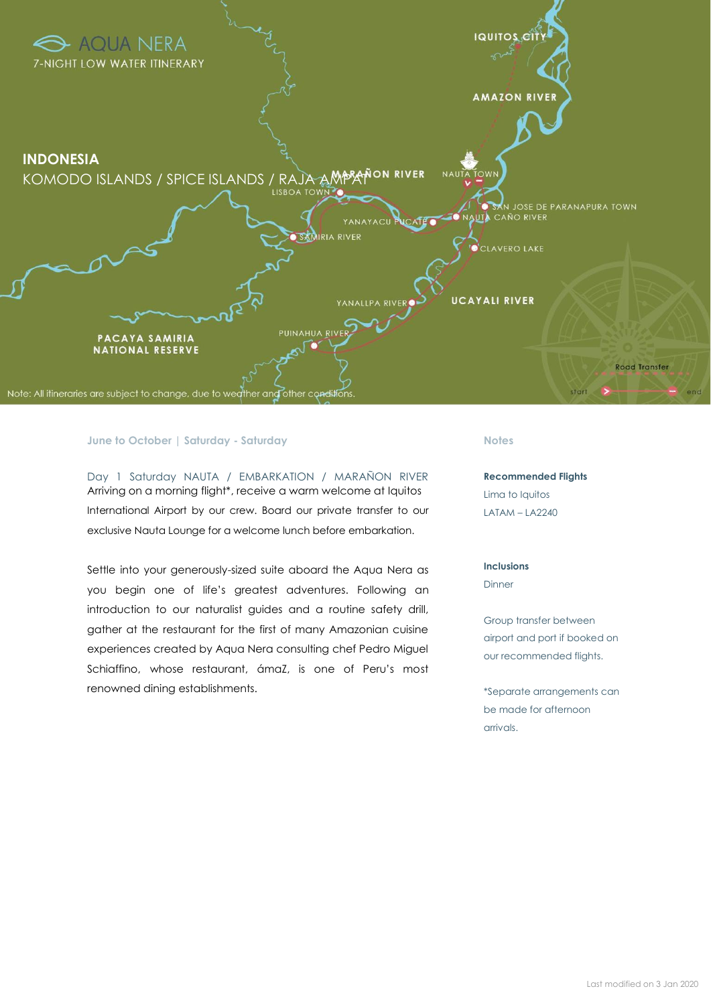

#### **June to October | Saturday - Saturday**

Day 1 Saturday NAUTA / EMBARKATION / MARAÑON RIVER Arriving on a morning flight\*, receive a warm welcome at Iquitos International Airport by our crew. Board our private transfer to our exclusive Nauta Lounge for a welcome lunch before embarkation.

Settle into your generously-sized suite aboard the Aqua Nera as you begin one of life's greatest adventures. Following an introduction to our naturalist guides and a routine safety drill, gather at the restaurant for the first of many Amazonian cuisine experiences created by Aqua Nera consulting chef Pedro Miguel Schiaffino, whose restaurant, ámaZ, is one of Peru's most renowned dining establishments.

#### **Notes**

**Recommended Flights** Lima to Iquitos LATAM – LA2240

## **Inclusions** Dinner

Group transfer between airport and port if booked on our recommended flights.

\*Separate arrangements can be made for afternoon arrivals.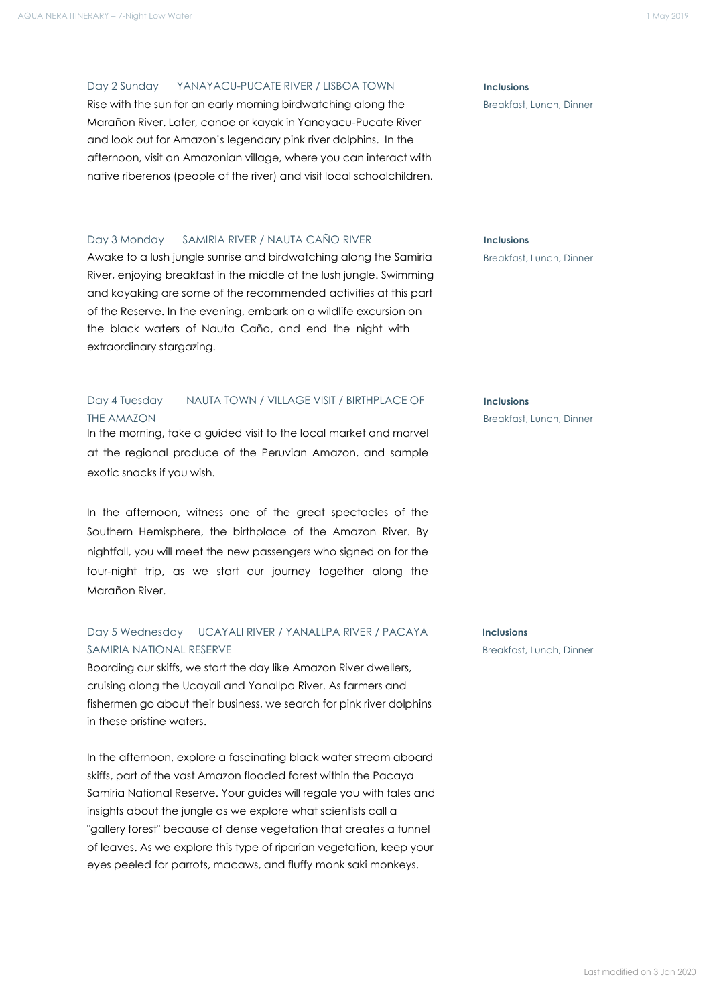### Day 2 Sunday YANAYACU-PUCATE RIVER / LISBOA TOWN **Inclusions**

Rise with the sun for an early morning birdwatching along the **Breakfast, Lunch, Dinner** Marañon River. Later, canoe or kayak in Yanayacu-Pucate River and look out for Amazon's legendary pink river dolphins. In the afternoon, visit an Amazonian village, where you can interact with native riberenos (people of the river) and visit local schoolchildren.

## Day 3 Monday SAMIRIA RIVER / NAUTA CAÑO RIVER **Inclusions**

Awake to a lush jungle sunrise and birdwatching along the Samiria Breakfast, Lunch, Dinner River, enjoying breakfast in the middle of the lush jungle. Swimming and kayaking are some of the recommended activities at this part of the Reserve. In the evening, embark on a wildlife excursion on the black waters of Nauta Caño, and end the night with extraordinary stargazing.

## Day 4 Tuesday NAUTA TOWN / VILLAGE VISIT / BIRTHPLACE OF **Inclusions** THE AMAZON BREAKFAST CONTROLLER THE AMAZON BREAKFAST CONTROLLER THE AMAZON

In the morning, take a guided visit to the local market and marvel at the regional produce of the Peruvian Amazon, and sample exotic snacks if you wish.

In the afternoon, witness one of the great spectacles of the Southern Hemisphere, the birthplace of the Amazon River. By nightfall, you will meet the new passengers who signed on for the four-night trip, as we start our journey together along the Marañon River.

## Day 5 Wednesday UCAYALI RIVER / YANALLPA RIVER / PACAYA **Inclusions** SAMIRIA NATIONAL RESERVE **Breakfast, Lunch, Dinner** Breakfast, Lunch, Dinner

Boarding our skiffs, we start the day like Amazon River dwellers, cruising along the Ucayali and Yanallpa River. As farmers and fishermen go about their business, we search for pink river dolphins in these pristine waters.

In the afternoon, explore a fascinating black water stream aboard skiffs, part of the vast Amazon flooded forest within the Pacaya Samiria National Reserve. Your guides will regale you with tales and insights about the jungle as we explore what scientists call a "gallery forest" because of dense vegetation that creates a tunnel of leaves. As we explore this type of riparian vegetation, keep your eyes peeled for parrots, macaws, and fluffy monk saki monkeys.